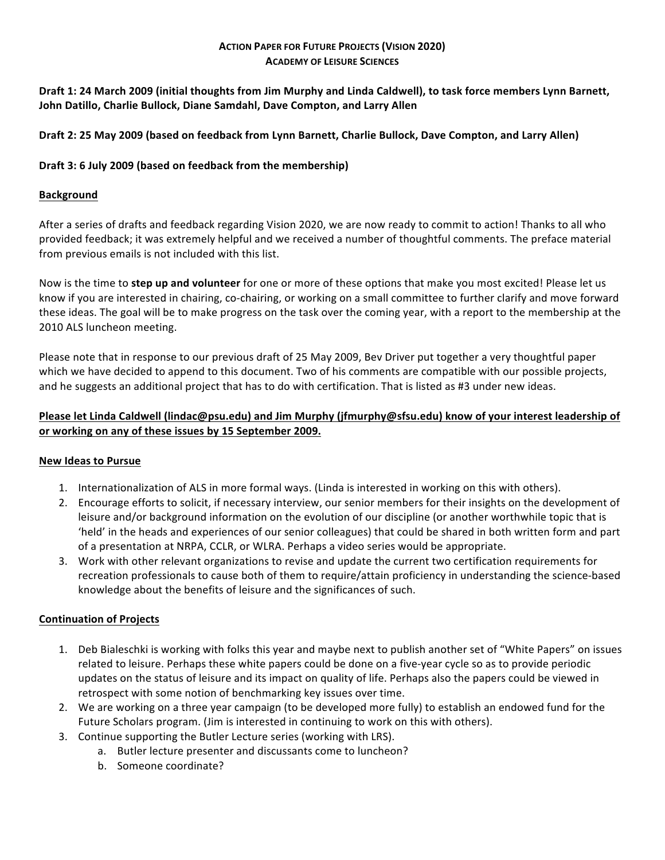## **ACTION PAPER FOR FUTURE PROJECTS (VISION 2020) ACADEMY OF LEISURE SCIENCES**

Draft 1: 24 March 2009 (initial thoughts from Jim Murphy and Linda Caldwell), to task force members Lynn Barnett, **John Datillo, Charlie Bullock, Diane Samdahl, Dave Compton, and Larry Allen** 

## Draft 2: 25 May 2009 (based on feedback from Lynn Barnett, Charlie Bullock, Dave Compton, and Larry Allen)

## Draft 3: 6 July 2009 (based on feedback from the membership)

# **Background**

After a series of drafts and feedback regarding Vision 2020, we are now ready to commit to action! Thanks to all who provided feedback; it was extremely helpful and we received a number of thoughtful comments. The preface material from previous emails is not included with this list.

Now is the time to **step up and volunteer** for one or more of these options that make you most excited! Please let us know if you are interested in chairing, co-chairing, or working on a small committee to further clarify and move forward these ideas. The goal will be to make progress on the task over the coming year, with a report to the membership at the 2010 ALS luncheon meeting.

Please note that in response to our previous draft of 25 May 2009, Bev Driver put together a very thoughtful paper which we have decided to append to this document. Two of his comments are compatible with our possible projects, and he suggests an additional project that has to do with certification. That is listed as #3 under new ideas.

# **Please let Linda Caldwell (lindac@psu.edu)** and Jim Murphy (jfmurphy@sfsu.edu) know of your interest leadership of or working on any of these issues by 15 September 2009.

## **New Ideas to Pursue**

- 1. Internationalization of ALS in more formal ways. (Linda is interested in working on this with others).
- 2. Encourage efforts to solicit, if necessary interview, our senior members for their insights on the development of leisure and/or background information on the evolution of our discipline (or another worthwhile topic that is 'held' in the heads and experiences of our senior colleagues) that could be shared in both written form and part of a presentation at NRPA, CCLR, or WLRA. Perhaps a video series would be appropriate.
- 3. Work with other relevant organizations to revise and update the current two certification requirements for recreation professionals to cause both of them to require/attain proficiency in understanding the science-based knowledge about the benefits of leisure and the significances of such.

## **Continuation of Projects**

- 1. Deb Bialeschki is working with folks this year and maybe next to publish another set of "White Papers" on issues related to leisure. Perhaps these white papers could be done on a five-year cycle so as to provide periodic updates on the status of leisure and its impact on quality of life. Perhaps also the papers could be viewed in retrospect with some notion of benchmarking key issues over time.
- 2. We are working on a three year campaign (to be developed more fully) to establish an endowed fund for the Future Scholars program. (Jim is interested in continuing to work on this with others).
- 3. Continue supporting the Butler Lecture series (working with LRS).
	- a. Butler lecture presenter and discussants come to luncheon?
	- b. Someone coordinate?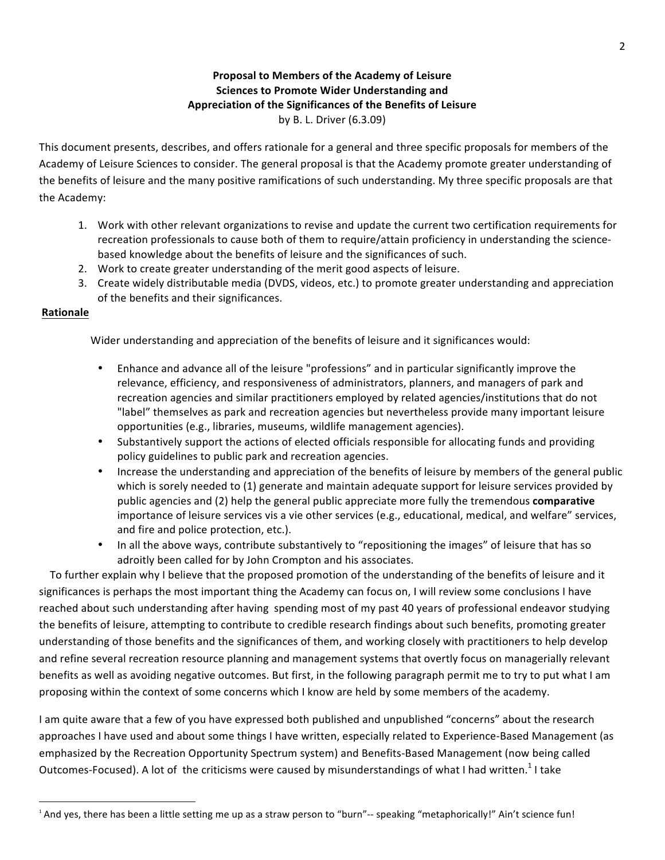# **Proposal to Members of the Academy of Leisure Sciences to Promote Wider Understanding and** Appreciation of the Significances of the Benefits of Leisure by B. L. Driver (6.3.09)

This document presents, describes, and offers rationale for a general and three specific proposals for members of the Academy of Leisure Sciences to consider. The general proposal is that the Academy promote greater understanding of the benefits of leisure and the many positive ramifications of such understanding. My three specific proposals are that the Academy:

- 1. Work with other relevant organizations to revise and update the current two certification requirements for recreation professionals to cause both of them to require/attain proficiency in understanding the sciencebased knowledge about the benefits of leisure and the significances of such.
- 2. Work to create greater understanding of the merit good aspects of leisure.
- 3. Create widely distributable media (DVDS, videos, etc.) to promote greater understanding and appreciation of the benefits and their significances.

# **Rationale**

<u> 1989 - Johann Stein, markin film yn y breninn y breninn y breninn y breninn y breninn y breninn y breninn y b</u>

Wider understanding and appreciation of the benefits of leisure and it significances would:

- Enhance and advance all of the leisure "professions" and in particular significantly improve the relevance, efficiency, and responsiveness of administrators, planners, and managers of park and recreation agencies and similar practitioners employed by related agencies/institutions that do not "label" themselves as park and recreation agencies but nevertheless provide many important leisure opportunities (e.g., libraries, museums, wildlife management agencies).
- Substantively support the actions of elected officials responsible for allocating funds and providing policy guidelines to public park and recreation agencies.
- Increase the understanding and appreciation of the benefits of leisure by members of the general public which is sorely needed to (1) generate and maintain adequate support for leisure services provided by public agencies and (2) help the general public appreciate more fully the tremendous **comparative** importance of leisure services vis a vie other services (e.g., educational, medical, and welfare" services, and fire and police protection, etc.).
- In all the above ways, contribute substantively to "repositioning the images" of leisure that has so adroitly been called for by John Crompton and his associates.

To further explain why I believe that the proposed promotion of the understanding of the benefits of leisure and it significances is perhaps the most important thing the Academy can focus on, I will review some conclusions I have reached about such understanding after having spending most of my past 40 years of professional endeavor studying the benefits of leisure, attempting to contribute to credible research findings about such benefits, promoting greater understanding of those benefits and the significances of them, and working closely with practitioners to help develop and refine several recreation resource planning and management systems that overtly focus on managerially relevant benefits as well as avoiding negative outcomes. But first, in the following paragraph permit me to try to put what I am proposing within the context of some concerns which I know are held by some members of the academy.

I am quite aware that a few of you have expressed both published and unpublished "concerns" about the research approaches I have used and about some things I have written, especially related to Experience-Based Management (as emphasized by the Recreation Opportunity Spectrum system) and Benefits-Based Management (now being called Outcomes-Focused). A lot of the criticisms were caused by misunderstandings of what I had written.<sup>1</sup> I take

<sup>&</sup>lt;sup>1</sup> And yes, there has been a little setting me up as a straw person to "burn"-- speaking "metaphorically!" Ain't science fun!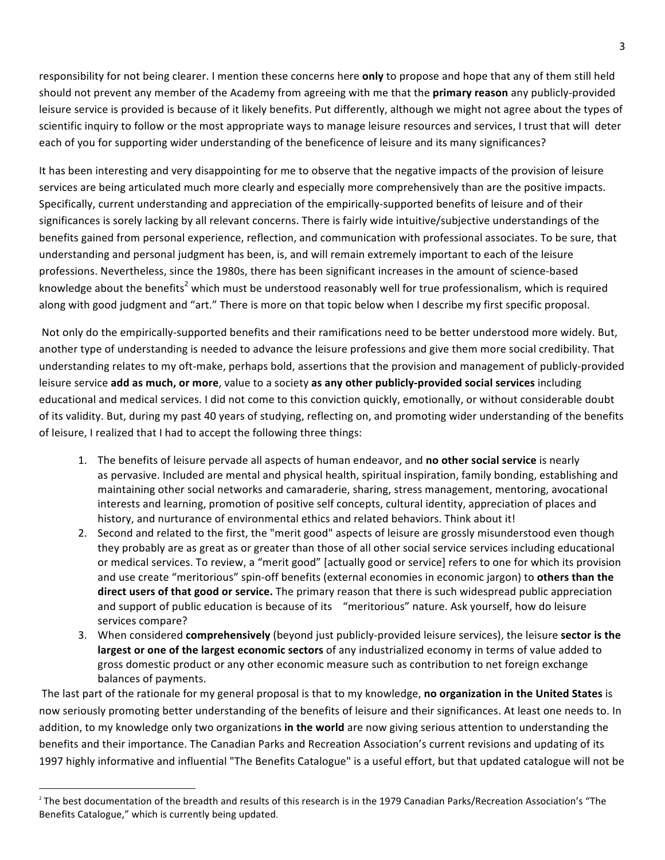responsibility for not being clearer. I mention these concerns here **only** to propose and hope that any of them still held should not prevent any member of the Academy from agreeing with me that the **primary reason** any publicly-provided leisure service is provided is because of it likely benefits. Put differently, although we might not agree about the types of scientific inquiry to follow or the most appropriate ways to manage leisure resources and services, I trust that will deter each of you for supporting wider understanding of the beneficence of leisure and its many significances?

It has been interesting and very disappointing for me to observe that the negative impacts of the provision of leisure services are being articulated much more clearly and especially more comprehensively than are the positive impacts. Specifically, current understanding and appreciation of the empirically-supported benefits of leisure and of their significances is sorely lacking by all relevant concerns. There is fairly wide intuitive/subjective understandings of the benefits gained from personal experience, reflection, and communication with professional associates. To be sure, that understanding and personal judgment has been, is, and will remain extremely important to each of the leisure professions. Nevertheless, since the 1980s, there has been significant increases in the amount of science-based knowledge about the benefits<sup>2</sup> which must be understood reasonably well for true professionalism, which is required along with good judgment and "art." There is more on that topic below when I describe my first specific proposal.

Not only do the empirically-supported benefits and their ramifications need to be better understood more widely. But, another type of understanding is needed to advance the leisure professions and give them more social credibility. That understanding relates to my oft-make, perhaps bold, assertions that the provision and management of publicly-provided leisure service add as much, or more, value to a society as any other publicly-provided social services including educational and medical services. I did not come to this conviction quickly, emotionally, or without considerable doubt of its validity. But, during my past 40 years of studying, reflecting on, and promoting wider understanding of the benefits of leisure, I realized that I had to accept the following three things:

- 1. The benefits of leisure pervade all aspects of human endeavor, and **no other social service** is nearly as pervasive. Included are mental and physical health, spiritual inspiration, family bonding, establishing and maintaining other social networks and camaraderie, sharing, stress management, mentoring, avocational interests and learning, promotion of positive self concepts, cultural identity, appreciation of places and history, and nurturance of environmental ethics and related behaviors. Think about it!
- 2. Second and related to the first, the "merit good" aspects of leisure are grossly misunderstood even though they probably are as great as or greater than those of all other social service services including educational or medical services. To review, a "merit good" [actually good or service] refers to one for which its provision and use create "meritorious" spin-off benefits (external economies in economic jargon) to others than the direct users of that good or service. The primary reason that there is such widespread public appreciation and support of public education is because of its "meritorious" nature. Ask yourself, how do leisure services compare?
- 3. When considered **comprehensively** (beyond just publicly-provided leisure services), the leisure **sector is the largest or one of the largest economic sectors** of any industrialized economy in terms of value added to gross domestic product or any other economic measure such as contribution to net foreign exchange balances of payments.

The last part of the rationale for my general proposal is that to my knowledge, no organization in the United States is now seriously promoting better understanding of the benefits of leisure and their significances. At least one needs to. In addition, to my knowledge only two organizations in the world are now giving serious attention to understanding the benefits and their importance. The Canadian Parks and Recreation Association's current revisions and updating of its 1997 highly informative and influential "The Benefits Catalogue" is a useful effort, but that updated catalogue will not be

<u> 1989 - Johann Stein, markin film yn y breninn y breninn y breninn y breninn y breninn y breninn y breninn y b</u>

 $2$  The best documentation of the breadth and results of this research is in the 1979 Canadian Parks/Recreation Association's "The Benefits Catalogue," which is currently being updated.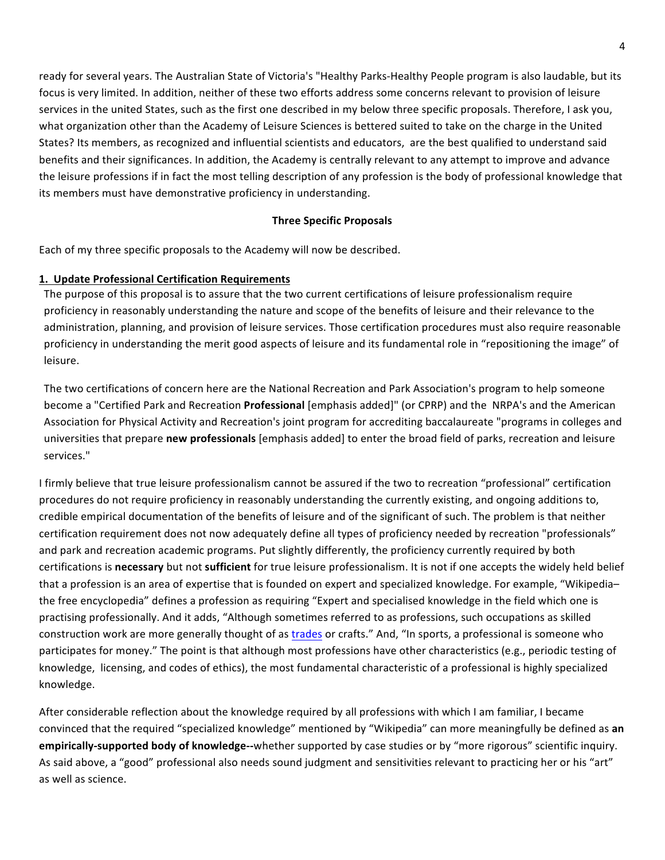ready for several years. The Australian State of Victoria's "Healthy Parks-Healthy People program is also laudable, but its focus is very limited. In addition, neither of these two efforts address some concerns relevant to provision of leisure services in the united States, such as the first one described in my below three specific proposals. Therefore, I ask you, what organization other than the Academy of Leisure Sciences is bettered suited to take on the charge in the United States? Its members, as recognized and influential scientists and educators, are the best qualified to understand said benefits and their significances. In addition, the Academy is centrally relevant to any attempt to improve and advance the leisure professions if in fact the most telling description of any profession is the body of professional knowledge that its members must have demonstrative proficiency in understanding.

## **Three Specific Proposals**

Each of my three specific proposals to the Academy will now be described.

#### **1. Update Professional Certification Requirements**

The purpose of this proposal is to assure that the two current certifications of leisure professionalism require proficiency in reasonably understanding the nature and scope of the benefits of leisure and their relevance to the administration, planning, and provision of leisure services. Those certification procedures must also require reasonable proficiency in understanding the merit good aspects of leisure and its fundamental role in "repositioning the image" of leisure. 

The two certifications of concern here are the National Recreation and Park Association's program to help someone become a "Certified Park and Recreation **Professional** [emphasis added]" (or CPRP) and the NRPA's and the American Association for Physical Activity and Recreation's joint program for accrediting baccalaureate "programs in colleges and universities that prepare **new professionals** [emphasis added] to enter the broad field of parks, recreation and leisure services." 

I firmly believe that true leisure professionalism cannot be assured if the two to recreation "professional" certification procedures do not require proficiency in reasonably understanding the currently existing, and ongoing additions to, credible empirical documentation of the benefits of leisure and of the significant of such. The problem is that neither certification requirement does not now adequately define all types of proficiency needed by recreation "professionals" and park and recreation academic programs. Put slightly differently, the proficiency currently required by both certifications is necessary but not sufficient for true leisure professionalism. It is not if one accepts the widely held belief that a profession is an area of expertise that is founded on expert and specialized knowledge. For example, "Wikipediathe free encyclopedia" defines a profession as requiring "Expert and specialised knowledge in the field which one is practising professionally. And it adds, "Although sometimes referred to as professions, such occupations as skilled construction work are more generally thought of as trades or crafts." And, "In sports, a professional is someone who participates for money." The point is that although most professions have other characteristics (e.g., periodic testing of knowledge, licensing, and codes of ethics), the most fundamental characteristic of a professional is highly specialized knowledge. 

After considerable reflection about the knowledge required by all professions with which I am familiar, I became convinced that the required "specialized knowledge" mentioned by "Wikipedia" can more meaningfully be defined as an **empirically-supported body of knowledge--**whether supported by case studies or by "more rigorous" scientific inquiry. As said above, a "good" professional also needs sound judgment and sensitivities relevant to practicing her or his "art" as well as science.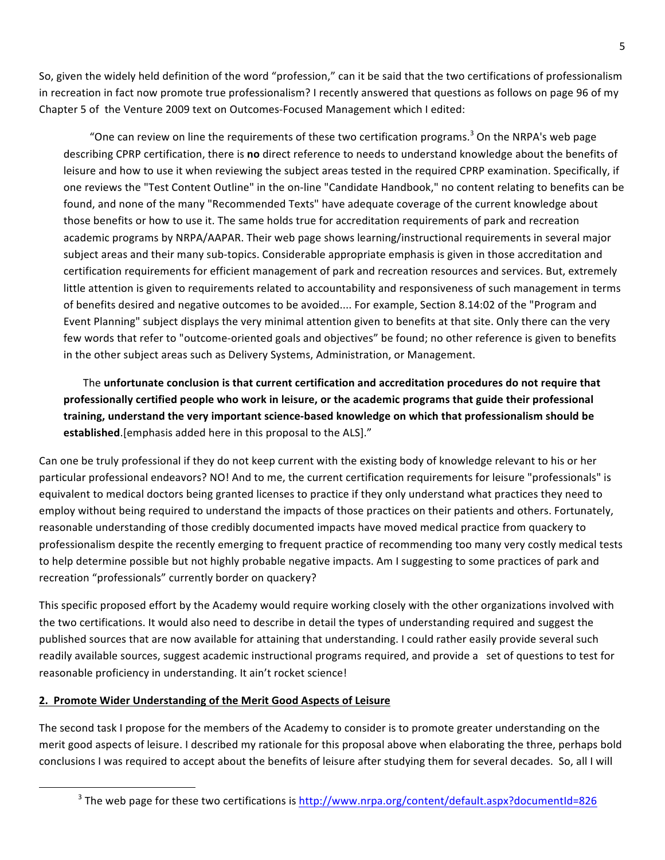So, given the widely held definition of the word "profession," can it be said that the two certifications of professionalism in recreation in fact now promote true professionalism? I recently answered that questions as follows on page 96 of my Chapter 5 of the Venture 2009 text on Outcomes-Focused Management which I edited:

"One can review on line the requirements of these two certification programs.<sup>3</sup> On the NRPA's web page describing CPRP certification, there is **no** direct reference to needs to understand knowledge about the benefits of leisure and how to use it when reviewing the subject areas tested in the required CPRP examination. Specifically, if one reviews the "Test Content Outline" in the on-line "Candidate Handbook," no content relating to benefits can be found, and none of the many "Recommended Texts" have adequate coverage of the current knowledge about those benefits or how to use it. The same holds true for accreditation requirements of park and recreation academic programs by NRPA/AAPAR. Their web page shows learning/instructional requirements in several major subject areas and their many sub-topics. Considerable appropriate emphasis is given in those accreditation and certification requirements for efficient management of park and recreation resources and services. But, extremely little attention is given to requirements related to accountability and responsiveness of such management in terms of benefits desired and negative outcomes to be avoided.... For example, Section 8.14:02 of the "Program and Event Planning" subject displays the very minimal attention given to benefits at that site. Only there can the very few words that refer to "outcome-oriented goals and objectives" be found; no other reference is given to benefits in the other subject areas such as Delivery Systems, Administration, or Management.

The unfortunate conclusion is that current certification and accreditation procedures do not require that professionally certified people who work in leisure, or the academic programs that guide their professional training, understand the very important science-based knowledge on which that professionalism should be established.[emphasis added here in this proposal to the ALS]."

Can one be truly professional if they do not keep current with the existing body of knowledge relevant to his or her particular professional endeavors? NO! And to me, the current certification requirements for leisure "professionals" is equivalent to medical doctors being granted licenses to practice if they only understand what practices they need to employ without being required to understand the impacts of those practices on their patients and others. Fortunately, reasonable understanding of those credibly documented impacts have moved medical practice from quackery to professionalism despite the recently emerging to frequent practice of recommending too many very costly medical tests to help determine possible but not highly probable negative impacts. Am I suggesting to some practices of park and recreation "professionals" currently border on quackery?

This specific proposed effort by the Academy would require working closely with the other organizations involved with the two certifications. It would also need to describe in detail the types of understanding required and suggest the published sources that are now available for attaining that understanding. I could rather easily provide several such readily available sources, suggest academic instructional programs required, and provide a set of questions to test for reasonable proficiency in understanding. It ain't rocket science!

## **2. Promote Wider Understanding of the Merit Good Aspects of Leisure**

<u> 1989 - Johann Stein, markin film yn y breninn y breninn y breninn y breninn y breninn y breninn y breninn y b</u>

The second task I propose for the members of the Academy to consider is to promote greater understanding on the merit good aspects of leisure. I described my rationale for this proposal above when elaborating the three, perhaps bold conclusions I was required to accept about the benefits of leisure after studying them for several decades. So, all I will

<sup>&</sup>lt;sup>3</sup> The web page for these two certifications is http://www.nrpa.org/content/default.aspx?documentId=826